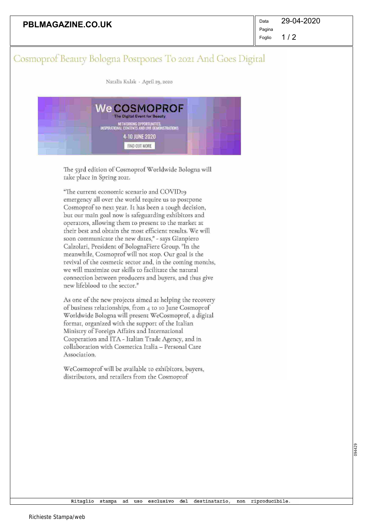| <b>PBLMAGAZINE.CO.UK</b> | Data |
|--------------------------|------|
|                          | Pagi |

 $1/2$ Foglio

## Cosmoprof Beauty Bologna Postpones To 2021 And Goes Digital

Natalia Kulak • April z9, zözö

| <b>WeCOSMOPROF</b><br>The Digital Event for Beauty                          |  |
|-----------------------------------------------------------------------------|--|
| NETWORKING OPPORTUNITIES,<br>INSPIRATIONAL CONTENTS AND LIVE DEMONSTRATIONS |  |
| 4-10 JUNE 2020                                                              |  |
| FIND OUT MORE                                                               |  |

The 53rd edition of Cosmoprof Worldwide Bologna will take place in Spring zozr.

"The current economic scenario and ÇOVIDr9 emergency all over the world require us to postpone Cosmoprof to next year. It has been a tough decision, but our main goal now is safeguarding exhibitors and operators, allowing them to present to the market at their best and obtain the most efficient results. We will soon communicate the new dates;" - says Gianpiero Calzolari, President of BolognaFiere Group. "In the meanwhile, Cosmoprof will not stop. Our goal is the revival of the cosmetic sector and, in the coming months, we will maximize our skills to facilitate the natural connection between producers and buyers, and thus give new lifeblood to the sector."

As one of the new projects aimed at helping the recovery of business relationships, from 4 to io June Cosmoprof Worldwide Bologna will present WeCosmoprof, a digital format, organized with the support of the Italian Ministry of Foreign Affairs and International Cooperation and ITA - Italian Trade Agency, and in collaboration with Cosmetica Italia — Personal Care Association.

WeCosmoprof will be available to exhibitors, buyers, distributors, and retailers from the Cosmoprof